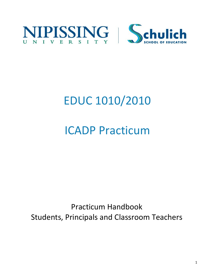

# EDUC 1010/2010

## ICADP Practicum

Practicum Handbook Students, Principals and Classroom Teachers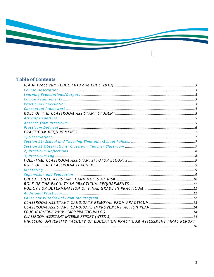

## **Table of Contents**

| NIPISSING UNIVERSITY FACULTY OF EDUCATION PRACTICUM ASSESSMENT FINAL REPORT |  |
|-----------------------------------------------------------------------------|--|
|                                                                             |  |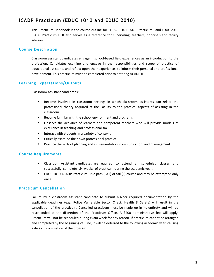## **ICADP Practicum (EDUC 1010 and EDUC 2010)**

This Practicum Handbook is the course outline for EDUC 1010 ICADP Practicum I and EDUC 2010 ICADP Practicum II. It also serves as a reference for supervising teachers, principals and faculty advisors.

#### **Course Description**

Classroom assistant candidates engage in school-based field experiences as an introduction to the profession. Candidates examine and engage in the responsibilities and scope of practice of educational assistants and reflect upon their experiences to inform their personal and professional development. This practicum must be completed prior to entering ACADP II.

#### **Learning Expectations/Outputs**

Classroom Assistant candidates:

- Become involved in classroom settings in which classroom assistants can relate the professional theory acquired at the Faculty to the practical aspects of assisting in the classroom
- Become familiar with the school environment and programs
- Observe the activities of learners and competent teachers who will provide models of excellence in teaching and professionalism
- Interact with students in a variety of contexts
- Critically examine their own professional practice
- Practice the skills of planning and implementation, communication, and management

#### **Course Requirements**

- Classroom Assistant candidates are required to attend all scheduled classes and successfully complete six weeks of practicum during the academic year.
- EDUC 1010 ACADP Practicum I is a pass (SAT) or fail (F) course and may be attempted only once.

#### **Practicum Cancellation**

Failure by a classroom assistant candidate to submit his/her required documentation by the applicable deadlines (e.g., Police Vulnerable Sector Check, Health & Safety) will result in the cancellation of the practicum. Cancelled practicum must be made up in its entirety and will be rescheduled at the discretion of the Practicum Office. A \$400 administrative fee will apply. Practicum will not be scheduled during exam week for any reason. If practicum cannot be arranged and completed by the beginning of June, it will be deferred to the following academic year, causing a delay in completion of the program.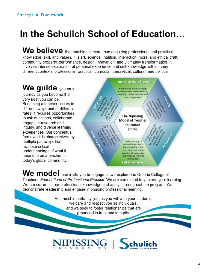## In the Schulich School of Education...

We believe that teaching is more than acquiring professional and practical knowledge, skill, and values. It is art, science, intuition, interaction, moral and ethical craft, community property, performance, design, innovation, and ultimately transformation. It involves intense exploration of personal experience and self-knowledge within many different contexts: professional, practical, curricular, theoretical, cultural, and political.

We guide you on a journey as you become the very best you can be. Becoming a teacher occurs in different ways and at different rates; it requires opportunities to ask questions, collaborate, engage in research and inquiry, and diverse learning experiences. Our conceptual framework is characterized by multiple pathways that facilitate critical understandings of what it means to be a teacher in today's global community.



We model and invite you to engage as we explore the Ontario College of Teachers' Foundations of Professional Practice. We are committed to you and your learning. We are current in our professional knowledge and apply it throughout the program. We demonstrate leadership and engage in ongoing professional learning.

> And most importantly, just as you will with your students, we care and respect you as individuals, and we seek to foster relationships that are grounded in trust and integrity.

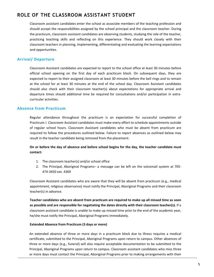## **ROLE OF THE CLASSROOM ASSISTANT STUDENT**

Classroom assistant candidates enter the school as associate members of the teaching profession and should accept the responsibilities assigned by the school principal and the classroom teacher. During the practicum, classroom assistant candidates are observing students, studying the role of the teacher, practicing teaching skills and reflecting on this experience. They should work closely with their classroom teachers in planning, implementing, differentiating and evaluating the learning expectations and opportunities.

#### **Arrival/ Departure**

Classroom Assistant candidates are expected to report to the school office at least 30 minutes before official school opening on the first day of each practicum block. On subsequent days, they are expected to report to their assigned classroom at least 30 minutes before the bell rings and to remain at the school for at least 30 minutes at the end of the school day. Classroom Assistant candidates should also check with their classroom teacher(s) about expectations for appropriate arrival and departure times should additional time be required for consultations and/or participation in extracurricular activities.

#### **Absence from Practicum**

Regular attendance throughout the practicum is an expectation for successful completion of Practicum I. Classroom Assistant candidates must make every effort to schedule appointments outside of regular school hours. Classroom Assistant candidates who must be absent from practicum are required to follow the procedures outlined below. Failure to report absences as outlined below may result in the teacher candidate being removed from the placement:

#### On or before the day of absence and before school begins for the day, the teacher candidate must **contact:**

- 1. The classroom teacher(s) and/or school office
- 2. The Principal, Aboriginal Programs– a message can be left on the voicemail system at 705-474-3450 ext. 4369

Classroom Assistant candidates who are aware that they will be absent from practicum (e.g., medical appointment, religious observance) must notify the Principal, Aboriginal Programs and their classroom teacher(s) in advance.

Teacher candidates who are absent from practicum are required to make up all missed time as soon as possible and are responsible for negotiating the dates directly with their classroom teacher(s). If a classroom assistant candidate is unable to make up missed time prior to the end of the academic year, he/she must notify the Principal, Aboriginal Programs immediately.

#### **Extended Absence from Practicum (3 days or more)**

An extended absence of three or more days in a practicum block due to illness requires a medical certificate, submitted to the Principal, Aboriginal Programs upon return to campus. Other absences of three or more days (e.g., funeral) will also require acceptable documentation to be submitted to the Principal, Aboriginal Programs upon return to campus. Classroom assistant candidates who miss three or more days must contact the Principal, Aboriginal Programs prior to making arrangements with their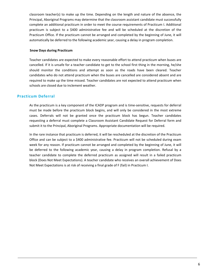classroom teacher(s) to make up the time. Depending on the length and nature of the absence, the Principal, Aboriginal Programs may determine that the classroom assistant candidate must successfully complete an additional practicum in order to meet the course requirements of Practicum I. Additional practicum is subject to a \$400 administrative fee and will be scheduled at the discretion of the Practicum Office. If the practicum cannot be arranged and completed by the beginning of June, it will automatically be deferred to the following academic year, causing a delay in program completion.

#### **Snow Days during Practicum**

Teacher candidates are expected to make every reasonable effort to attend practicum when buses are cancelled. If it is unsafe for a teacher candidate to get to the school first thing in the morning, he/she should monitor the conditions and attempt as soon as the roads have been cleared. Teacher candidates who do not attend practicum when the buses are cancelled are considered absent and are required to make up the time missed. Teacher candidates are not expected to attend practicum when schools are closed due to inclement weather.

#### **Practicum Deferral**

As the practicum is a key component of the ICADP program and is time-sensitive, requests for deferral must be made before the practicum block begins, and will only be considered in the most extreme cases. Deferrals will not be granted once the practicum block has begun. Teacher candidates requesting a deferral must complete a Classroom Assistant Candidate Request for Deferral form and submit it to the Principal, Aboriginal Programs. Appropriate documentation will be required.

In the rare instance that practicum is deferred, it will be rescheduled at the discretion of the Practicum Office and can be subject to a \$400 administrative fee. Practicum will not be scheduled during exam week for any reason. If practicum cannot be arranged and completed by the beginning of June, it will be deferred to the following academic year, causing a delay in program completion. Refusal by a teacher candidate to complete the deferred practicum as assigned will result in a failed practicum block (Does Not Meet Expectations). A teacher candidate who receives an overall achievement of Does Not Meet Expectations is at risk of receiving a final grade of F (fail) in Practicum I.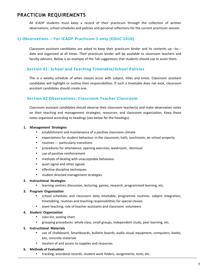### **PRACTICUM REQUIREMENTS**

All ICADP students must keep a record of their practicum through the collection of written observations, school schedules and policies and personal reflections for the current practicum session.

#### 1) Observations – For ICADP Practicum 1 only (EDUC 1010)

Classroom assistant candidates are asked to keep their practicum binder and its contents up---to--date and organized at all times. Their practicum binder will be available to classroom teachers and faculty advisors. Below is an example of the Tab suggestions that students should use to assist them.

#### **Section #1: School and Teaching Timetable/School Policies**

This is a weekly schedule of when classes occur with subject, titles and times. Classroom assistant candidates will highlight or outline their responsibilities. If such a timetable does not exist, classroom assistant candidates should create one.

#### **Section #2 Observations: Classroom Teacher Classroom**

Classroom assistant candidates should observe their classroom teacher(s) and make observation notes on their teaching and management strategies, resources, and classroom organization. Keep these notes organized according to headings (see below for the headings).

#### **1. Management Strategies**

- establishment and maintenance of a positive classroom climate
- expectations for student behaviour in the classroom, halls, lunchroom, on school property
- routines --- particularly transitions
- procedures for attendance, opening exercises, washroom, dismissal
- use of positive reinforcement
- methods of dealing with unacceptable behaviour
- quiet signal and other signals
- effective discipline techniques
- student directed management strategies

#### **2. Instructional Strategies**

learning centres, discussion, lecturing, games, research, programmed learning, etc.

#### **3. Program Organization**

- school schedules and classroom daily timetable, programme routines, subject integration, timetabling, routines and teaching responsibilities for special classes
- team teaching; role of teacher assistants and classroom volunteers

#### **4. Student Organization**

- class list, seating chart
- grouping procedures: whole class, small groups, independent study, peer learning, etc.

#### **5. Instructional Materials**

- use of chalkboard, Smartboards, bulletin boards, audio visual equipment, computers, books, kits, concrete materials
- location of and access to supplies and resources

#### **6. Methods of Evaluation**

• tracking, anecdotal records, student work folders, assignments, tests, etc.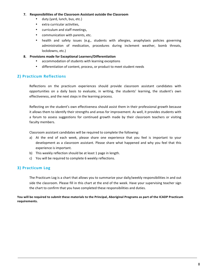#### **7.** Responsibilities of the Classroom Assistant outside the Classroom

- duty (yard, lunch, bus, etc.)
- extra curricular activities,
- curriculum and staff meetings,
- communication with parents, etc.
- health and safety issues (e.g., students with allergies, anaphylaxis policies governing administration of medication, procedures during inclement weather, bomb threats, lockdowns, etc.)

#### **8. Provisions made for Exceptional Learners/Differentiation**

- accommodation of students with learning exceptions
- differentiation of content, process, or product to meet student needs

#### **2) Practicum Reflections**

Reflections on the practicum experiences should provide classroom assistant candidates with opportunities on a daily basis to evaluate, in writing, the students' learning, the student's own effectiveness, and the next steps in the learning process.

Reflecting on the student's own effectiveness should assist them in their professional growth because it allows them to identify their strengths and areas for improvement. As well, it provides students with a forum to assess suggestions for continued growth made by their classroom teachers or visiting faculty members.

Classroom assistant candidates will be required to complete the following:

- a) At the end of each week, please share one experience that you feel is important to your development as a classroom assistant. Please share what happened and why you feel that this experience is important.
- b) This weekly reflection should be at least 1 page in length.
- c) You will be required to complete 6 weekly reflections.

#### **3) Practicum Log**

The Practicum Log is a chart that allows you to summarize your daily/weekly responsibilities in and out side the classroom. Please fill in this chart at the end of the week. Have your supervising teacher sign the chart to confirm that you have completed these responsibilities and duties.

You will be required to submit these materials to the Principal, Aboriginal Programs as part of the ICADP Practicum **requirements.**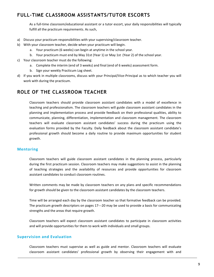## **FULL-TIME CLASSROOM ASSISTANTS/TUTOR ESCORTS**

As a full-time classroom/educational assistant or a tutor escort, your daily responsibilities will typically fulfill all the practicum requirements. As such,

- a) Discuss your practicum responsibilities with your supervising/classroom teacher.
- b) With your classroom teacher, decide when your practicum will begin.
	- a. Your practicum (6 weeks) can begin at anytime in the school year.
	- b. Your practicum must end by May 31st (Year 1) or May 1st (Year 2) of the school year.
- c) Your classroom teacher must do the following:
	- a. Complete the interim (end of 3 weeks) and final (end of 6 weeks) assessment form.
	- b. Sign your weekly Practicum Log sheet.
- d) If you work in multiple classrooms, discuss with your Principal/Vice-Principal as to which teacher you will work with during the practicum.

## **ROLE OF THE CLASSROOM TEACHER**

Classroom teachers should provide classroom assistant candidates with a model of excellence in teaching and professionalism. The classroom teachers will guide classroom assistant candidates in the planning and implementation process and provide feedback on their professional qualities, ability to communicate, planning, differentiation, implementation and classroom management. The classroom teachers will evaluate classroom assistant candidates' success during the practicum using the evaluation forms provided by the Faculty. Daily feedback about the classroom assistant candidate's professional growth should become a daily routine to provide maximum opportunities for student growth.

#### **Mentoring**

Classroom teachers will guide classroom assistant candidates in the planning process, particularly during the first practicum session. Classroom teachers may make suggestions to assist in the planning of teaching strategies and the availability of resources and provide opportunities for classroom assistant candidates to conduct classroom routines.

Written comments may be made by classroom teachers on any plans and specific recommendations for growth should be given to the classroom assistant candidates by the classroom teachers.

Time will be arranged each day by the classroom teacher so that formative feedback can be provided. The practicum growth descriptors on pages 17---20 may be used to provide a basis for communicating strengths and the areas that require growth.

Classroom teachers will expect classroom assistant candidates to participate in classroom activities and will provide opportunities for them to work with individuals and small groups.

#### **Supervision and Evaluation**

Classroom teachers must supervise as well as guide and mentor. Classroom teachers will evaluate classroom assistant candidates' professional growth by observing their engagement with and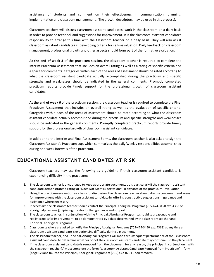assistance of students and comment on their effectiveness in communication, planning, implementation and classroom management. (The growth descriptors may be used in this process).

Classroom teachers will discuss classroom assistant candidates' work in the classroom on a daily basis in order to provide feedback and suggestions for improvement. It is the classroom assistant candidates responsibility to arrange this time with the Classroom Teacher on a daily basis. They will also assist classroom assistant candidates in developing criteria for self---evaluation. Daily feedback on classroom management, professional growth and other aspects should form part of the formative evaluation.

At the end of week 3 of the practicum session, the classroom teacher is required to complete the Interim Practicum Assessment that includes an overall rating as well as a rating of specific criteria and a space for comments. Categories within each of the areas of assessment should be rated according to what the classroom assistant candidate actually accomplished during the practicum and specific strengths and weaknesses should be indicated in the general comments. Promptly completed practicum reports provide timely support for the professional growth of classroom assistant candidates.

At the end of week 6 of the practicum session, the classroom teacher is required to complete the Final Practicum Assessment that includes an overall rating as well as the evaluation of specific criteria. Categories within each of the areas of assessment should be rated according to what the classroom assistant candidate actually accomplished during the practicum and specific strengths and weaknesses should be indicated in the general comments. Promptly completed practicum reports provide timely support for the professional growth of classroom assistant candidates.

In addition to the Interim and Final Assessment Forms, the classroom teacher is also asked to sign the Classroom Assistant's Practicum Log, which summarizes the daily/weekly responsibilities accomplished during one-week intervals of the practicum.

## **EDUCATIONAL ASSISTANT CANDIDATES AT RISK**

Classroom teachers may use the following as a guideline if their classroom assistant candidate is experiencing difficulty in the practicum:

- 1. The classroom teacheris encouraged to keep appropriate documentation, particularly if the classroom assistant candidate demonstrates a rating of "Does Not Meet Expectations" in any area of the practicum evaluation.
- 2. Using the practicum evaluation as a basis for discussion, the classroom teacher should discuss concerns and areas for improvement with the classroom assistant candidate by offering constructive suggestions, guidance and assistance where necessary.
- 3. If necessary, the classroom teacher should contact the Principal, Aboriginal Programs (705-474-3450 ext. 4368 or aboriginalprograms@nipissingu.ca)for further guidance and support.
- 4. The classroom teacher, in conjunction with the Principal, Aboriginal Programs,should set reasonable and realistic goals for improvement, to be demonstrated by a date determined by the classroom teacher and Principal, Aboriginal Programs.
- 5. Classroom teachers are asked to notify the Principal, Aboriginal Programs (705-474-3450 ext. 4368) at any time a classroom assistant candidate is experiencing difficulty during a placement.
- 6. The classroom teacher, and Principal, Aboriginal Programs will monitorsubsequent performance of the classroom assistant candidate, to determine whether or not the classroom assistant candidate may continue in the placement.
- 7. If the classroom assistant candidate isremoved from the placement for any reason, the principal in conjunction with the classroom teacher(s) must complete the form "Classroom Assistant Candidate Removal from Practicum" form (page 12) and fax it to the Principal, Aboriginal Programs at (705) 472-8701 upon removal.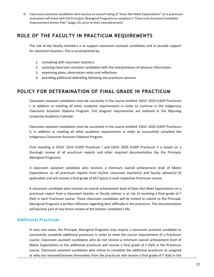8. Classroom assistant candidates who receive an overall rating of "Does Not Meet Expectations" on a practicum evaluation will meet with the Principal, Aboriginal Programsto complete a "Classroom Assistant Candidate Improvement Action Plan" (page 13), prior to their next placement.

## **ROLE OF THE FACULTY IN PRACTICUM REQUIREMENTS**

The role of the faculty members is to support classroom assistant candidates and to provide support for classroom teachers. This is accomplished by:

- 1. consulting with classroom teachers;
- 2. assisting classroom assistant candidates with the interpretation of advance information;
- 3. examining plans, observation notes and reflections
- 4. providing additional debriefing following the practicum sessions

## **POLICY FOR DETERMINATION OF FINAL GRADE IN PRACTICUM**

Classroom assistant candidates must be successful in the course entitled: EDUC 1010 ICADP Practicum I, in addition to meeting all other academic requirements in order to continue in the Indigenous Classroom Assistant Diploma Program. Full program requirements are outlined in the Nipissing University Academic Calendar.

Classroom assistant candidates must be successful in the course entitled: EDUC 1020 ICADP Practicum II, in addition to meeting all other academic requirements in order to successfully complete the Indigenous Classroom Assistant Diploma Program.

Final standing in EDUC 1010 ICADP Practicum I and EDUC 2020 ICADP Practicum II is based on a thorough review of all practicum reports and other required documentation (by the Principal, Aboriginal Programs).

A classroom assistant candidate who receives a minimum overall achievement level of Meets Expectations on all practicum reports from his/her classroom teacher(s) and faculty advisor(s) (if applicable) and will receive a final grade of SAT (pass) in each respective Practicum course.

A classroom candidate who receives an overall achievement level of Does Not Meet Expectations on a practicum report from a classroom teacher or faculty advisor is at risk of receiving a final grade of F (fail) in each Practicum course. These classroom candidates will be invited to submit to the Principal, Aboriginal Programs a written reflection regarding their difficulty in the practicum. This documentation will become part of any future review of the teacher candidate's file.

#### **Additional Practicum**

In very rare cases, the Principal, Aboriginal Programs may require a classroom assistant candidate to successfully complete additional practicum in order to meet the course requirements of a Practicum course. Classroom assistant candidates who do not receive a minimum overall achievement level of Meets Expectations in the additional practicum will receive a final grade of  $F$  (fail) in the Practicum course. Classroom assistant candidates who refuse to complete the additional practicum as assigned or who are removed/remove themselves from the practicum will receive a final grade of F (fail) in the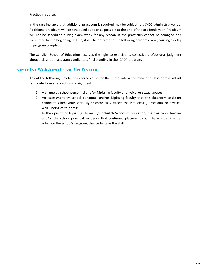Practicum course.

In the rare instance that additional practicum is required may be subject to a \$400 administrative fee. Additional practicum will be scheduled as soon as possible at the end of the academic year. Practicum will not be scheduled during exam week for any reason. If the practicum cannot be arranged and completed by the beginning of June, it will be deferred to the following academic year, causing a delay of program completion.

The Schulich School of Education reserves the right to exercise its collective professional judgment about a classroom assistant candidate's final standing in the ICADP program.

#### **Cause For Withdrawal From the Program**

Any of the following may be considered cause for the immediate withdrawal of a classroom assistant candidate from any practicum assignment:

- 1. A charge by school personnel and/or Nipissing faculty of physical or sexual abuse;
- 2. An assessment by school personnel and/or Nipissing faculty that the classroom assistant candidate's behaviour seriously or chronically affects the intellectual, emotional or physical well---being of students;
- 3. In the opinion of Nipissing University's Schulich School of Education, the classroom teacher and/or the school principal, evidence that continued placement could have a detrimental effect on the school's program, the students or the staff.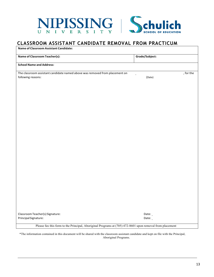

## **CLASSROOM ASSISTANT CANDIDATE REMOVAL FROM PRACTICUM**

**Name of Classroom Assistant Candidate:**

| <b>Name of Classroom Teacher(s):</b>                                        | Grade/Subject: |           |
|-----------------------------------------------------------------------------|----------------|-----------|
| <b>School Name and Address:</b>                                             |                |           |
| The classroom assistant candidate named above was removed from placement on |                | , for the |
| following reasons:                                                          | (Date)         |           |
|                                                                             |                |           |
|                                                                             |                |           |
|                                                                             |                |           |
|                                                                             |                |           |
|                                                                             |                |           |
|                                                                             |                |           |
|                                                                             |                |           |
|                                                                             |                |           |
|                                                                             |                |           |
|                                                                             |                |           |
|                                                                             |                |           |
|                                                                             |                |           |
|                                                                             |                |           |
|                                                                             |                |           |
|                                                                             |                |           |
|                                                                             |                |           |
|                                                                             |                |           |
|                                                                             |                |           |
|                                                                             |                |           |
|                                                                             |                |           |
|                                                                             |                |           |
|                                                                             |                |           |
|                                                                             |                |           |
| Classroom Teacher(s) Signature:                                             | Date:          |           |
| Principal Signature:                                                        | Date:          |           |

\*The information contained in this document will be shared with the classroom assistant candidate and kept on file with the Principal, Aboriginal Programs.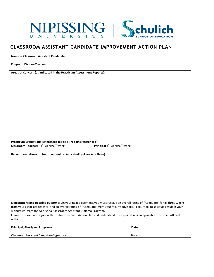

### **CLASSROOM ASSISTANT CANDIDATE IMPROVEMENT ACTION PLAN**

| <b>Name of Classroom Assistant Candidate:</b>                                                                                                                                                                |                                                     |
|--------------------------------------------------------------------------------------------------------------------------------------------------------------------------------------------------------------|-----------------------------------------------------|
| Program Division/Section:                                                                                                                                                                                    |                                                     |
| Areas of Concern (as indicated in the Practicum Assessment Reports):                                                                                                                                         |                                                     |
|                                                                                                                                                                                                              |                                                     |
|                                                                                                                                                                                                              |                                                     |
|                                                                                                                                                                                                              |                                                     |
|                                                                                                                                                                                                              |                                                     |
|                                                                                                                                                                                                              |                                                     |
|                                                                                                                                                                                                              |                                                     |
|                                                                                                                                                                                                              |                                                     |
|                                                                                                                                                                                                              |                                                     |
| Practicum Evaluations Referenced (circle all reports referenced):                                                                                                                                            |                                                     |
| Classroom Teacher: 3 <sup>rd</sup> week/6 <sup>th</sup> week                                                                                                                                                 | Principal 3 <sup>rd</sup> week/6 <sup>th</sup> week |
| Recommendations for Improvement (as indicated by Associate Dean):                                                                                                                                            |                                                     |
|                                                                                                                                                                                                              |                                                     |
|                                                                                                                                                                                                              |                                                     |
|                                                                                                                                                                                                              |                                                     |
|                                                                                                                                                                                                              |                                                     |
|                                                                                                                                                                                                              |                                                     |
| Expectations and possible outcome: On your next placement, you must receive an overall rating of "Adequate" for all three weeks                                                                              |                                                     |
| from your associate teacher, and an overall rating of "Adequate" from your faculty advisor(s). Failure to do so could result in your                                                                         |                                                     |
| withdrawal from the Aboriginal Classroom Assistant Diploma Program.<br>I have discussed and agree with this Improvement Action Plan and understand the expectations and possible outcome outlined<br>within. |                                                     |
| Principal, Aboriginal Programs:                                                                                                                                                                              | Date:                                               |
| <b>Classroom Assistant Candidate Signature:</b>                                                                                                                                                              | Date:                                               |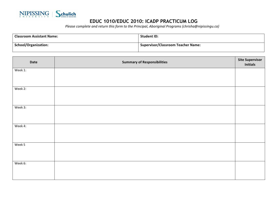

## **EDUC 1010/EDUC 2010: ICADP PRACTICUM LOG**

*Please complete and return this form to the Principal, Aboriginal Programs (chrisha@nipissingu.ca)* 

| <b>Classroom Assistant Name:</b> | <b>Student ID:</b>                        |
|----------------------------------|-------------------------------------------|
| <b>School/Organization:</b>      | <b>Supervisor/Classroom Teacher Name:</b> |

| Date    | <b>Summary of Responsibilities</b> | <b>Site Supervisor</b><br><b>Initials</b> |
|---------|------------------------------------|-------------------------------------------|
| Week 1: |                                    |                                           |
| Week 2: |                                    |                                           |
| Week 3: |                                    |                                           |
| Week 4: |                                    |                                           |
| Week 5  |                                    |                                           |
| Week 6: |                                    |                                           |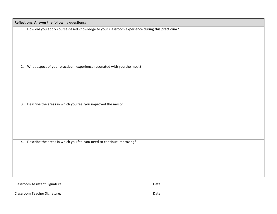| Reflections: Answer the following questions:                                                    |       |
|-------------------------------------------------------------------------------------------------|-------|
| 1. How did you apply course-based knowledge to your classroom experience during this practicum? |       |
| 2. What aspect of your practicum experience resonated with you the most?                        |       |
| 3. Describe the areas in which you feel you improved the most?                                  |       |
| 4. Describe the areas in which you feel you need to continue improving?                         |       |
| Classroom Assistant Signature:                                                                  | Date: |

Classroom Teacher Signature: Classroom Teacher Signature: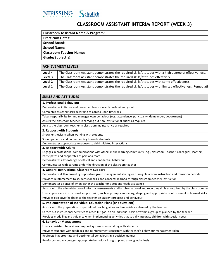

## **CLASSROOM ASSISTANT INTERIM REPORT (WEEK 3)**

#### **Practicum Dates:**

**School Board:**

**School Name:**

**Classroom Teacher Name:**

**Grade/Subject(s):**

#### **ACHIEVEMENT LEVELS** Level A The Classroom Assistant demonstrates the required skills/attitudes with a high degree of effectiveness.

| LCVCI T            | THE Classifically Assistant demonstrates the required skills/attitudes with a high degree or enectiveness. |
|--------------------|------------------------------------------------------------------------------------------------------------|
| Level 3            | The Classroom Assistant demonstrates the required skills/attitudes effectively.                            |
| Level <sub>2</sub> | The Classroom Assistant demonstrates the required skills/attitudes with some effectiveness.                |
| Level 1            | The Classroom Assistant demonstrates the required skills/attitudes with limited effectiveness. Remediati   |

#### **SKILLS AND ATTITUDES**

**1. Professional Behaviour**

Demonstrates initiative and resourcefulness towards professional growth

Completes assigned tasks according to agreed upon timelines

Takes responsibility for and manages own behaviour (e.g., attendance, punctuality, demeanour, deportment)

Assists the classroom teacher in carrying out non-instructional duties as required

Assists the classroom teacher in classroom maintenance as required

**2. Rapport with Students**

Shows enthusiasm when working with students

Shows patience and understanding towards students

Demonstrates appropriate responses to child initiated interactions

#### **3. Rapport with Adults**

Engages in professional communications with others in the learning community (e.g., classroom Teacher, colleagues, learners) Participates and cooperates as part of a team

Demonstrates a knowledge of ethical and confidential behaviour

Communicates with parents under the direction of the classroom teacher

#### **4. General Instructional Classroom Support**

Demonstrate skill in providing supportive group management strategies during classroom instruction and transition periods

Provides reinforcement to students for skills and concepts learned through classroom teacher instruction

Demonstrates a sense of when either the teacher or a student needs assistance

Assists with the administration of informal assessments and/or observational and recording skills as required by the classroom tea

Uses appropriate instructional support skills, such as prompts, modeling, shaping and appropriate reinforcement of learned skills

Provides objective feedback to the teacher on student progress and behaviour

**5.** Implementation of Individual Education Plans (or equivalent)

Assists with the preparation of specialized teaching aides and materials as planned by the teacher

Carries out instructional activities to reach IEP goal on an individual basis or within a group as planned by the teacher

Provides modelling and guidance when implementing activities that socially integrate children with special needs

#### **6. Behaviour Management**

Uses a consistent behavioural support system when working with students

Provides students with feedback and reinforcement consistent with teacher's behaviour management plan

Redirects inappropriate and detrimental behaviours in a positive manner

Reinforces and encourages appropriate behaviour in a group and among individuals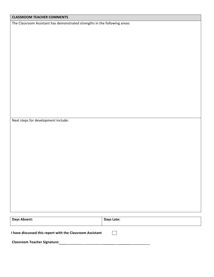| The Classroom Assistant has demonstrated strengths in the following areas: |            |
|----------------------------------------------------------------------------|------------|
|                                                                            |            |
|                                                                            |            |
|                                                                            |            |
|                                                                            |            |
|                                                                            |            |
|                                                                            |            |
|                                                                            |            |
|                                                                            |            |
|                                                                            |            |
|                                                                            |            |
| Next steps for development include:                                        |            |
|                                                                            |            |
|                                                                            |            |
|                                                                            |            |
|                                                                            |            |
|                                                                            |            |
|                                                                            |            |
|                                                                            |            |
|                                                                            |            |
|                                                                            |            |
|                                                                            |            |
|                                                                            |            |
| Days Absent:                                                               | Days Late: |
| I have discussed this report with the Classroom Assistant                  |            |

**CLASSROOM TEACHER COMMENTS**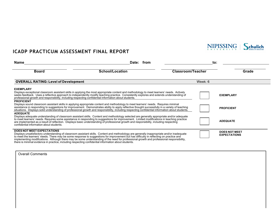

## **ICADP PRACTICUM ASSESSMENT FINAL REPORT**

| <b>Name</b>                                                                                           | Date: from                                                                                                                                                                                                                                                                                                                                                                                                                                  |                          | to:     |                      |
|-------------------------------------------------------------------------------------------------------|---------------------------------------------------------------------------------------------------------------------------------------------------------------------------------------------------------------------------------------------------------------------------------------------------------------------------------------------------------------------------------------------------------------------------------------------|--------------------------|---------|----------------------|
| <b>Board</b>                                                                                          | <b>School/Location</b>                                                                                                                                                                                                                                                                                                                                                                                                                      | <b>Classroom/Teacher</b> |         | Grade                |
| <b>OVERALL RATING: Level of Development</b>                                                           |                                                                                                                                                                                                                                                                                                                                                                                                                                             |                          | Week: 6 |                      |
| <b>EXEMPLARY</b>                                                                                      |                                                                                                                                                                                                                                                                                                                                                                                                                                             |                          |         |                      |
| professional growth and responsibility, including respecting confidential information about students. | Displays exceptional classroom assistant skills in applying the most appropriate content and methodology to meet learners' needs. Actively<br>seeks feedback. Uses a reflective approach to independently modify teaching practice. Consistently explores and extends understanding of                                                                                                                                                      |                          |         | <b>EXEMPLARY</b>     |
| <b>PROFICIENT</b>                                                                                     |                                                                                                                                                                                                                                                                                                                                                                                                                                             |                          |         |                      |
|                                                                                                       | Displays sound classroom assistant skills in applying appropriate content and methodology to meet learners' needs. Requires minimal<br>assistance in responding to suggestions for improvement. Demonstrates ability to apply reflective thought successfully in a variety of teaching<br>situations. Displays solid understanding of professional growth and responsibility, including respecting confidential information about students. |                          |         | <b>PROFICIENT</b>    |
| <b>ADEQUATE</b>                                                                                       |                                                                                                                                                                                                                                                                                                                                                                                                                                             |                          |         |                      |
| confidential information about students.                                                              | Displays adequate understanding of classroom assistant skills. Content and methodology selected are generally appropriate and/or adequate<br>to meet learners' needs. Requires some assistance in responding to suggestions for improvement. Limited modifications in teaching practice<br>are implemented as a result of reflection. Displays basic understanding of professional growth and responsibility, including respecting          |                          |         | <b>ADEQUATE</b>      |
| DOES NOT MEET EXPECTATIONS                                                                            |                                                                                                                                                                                                                                                                                                                                                                                                                                             |                          |         | <b>DOES NOT MEET</b> |
| there is minimal evidence in practice, including respecting confidential information about students.  | Displays unsatisfactory understanding of classroom assistant skills. Content and methodology are generally inappropriate and/or inadequate<br>to meet the learners' needs. There may be some response to suggestions for improvement but has difficulty in reflecting on practice and<br>implementing modifications. Although there may be some understanding of the need for professional growth and professional responsibility,          |                          |         | <b>EXPECTATIONS</b>  |

Overall Comments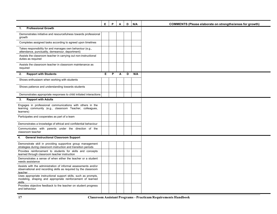|                                                                                                                                              | E | P | Α | D | N/A | <b>COMMENTS (Please elaborate on strengths/areas for growth)</b> |
|----------------------------------------------------------------------------------------------------------------------------------------------|---|---|---|---|-----|------------------------------------------------------------------|
| <b>Professional Growth</b><br>1.                                                                                                             |   |   |   |   |     |                                                                  |
| Demonstrates initiative and resourcefulness towards professional<br>growth                                                                   |   |   |   |   |     |                                                                  |
| Completes assigned tasks according to agreed upon timelines                                                                                  |   |   |   |   |     |                                                                  |
| Takes responsibility for and manages own behaviour (e.g.,<br>attendance, punctuality, demeanour, deportment)                                 |   |   |   |   |     |                                                                  |
| Assists the classroom teacher in carrying out non-instructional<br>duties as required                                                        |   |   |   |   |     |                                                                  |
| Assists the classroom teacher in classroom maintenance as<br>required                                                                        |   |   |   |   |     |                                                                  |
| <b>Rapport with Students</b><br>2.                                                                                                           | Е | P | A | D | N/A |                                                                  |
| Shows enthusiasm when working with students                                                                                                  |   |   |   |   |     |                                                                  |
| Shows patience and understanding towards students                                                                                            |   |   |   |   |     |                                                                  |
| Demonstrates appropriate responses to child initiated interactions                                                                           |   |   |   |   |     |                                                                  |
| <b>Rapport with Adults</b><br>3.                                                                                                             |   |   |   |   |     |                                                                  |
| Engages in professional communications with others in the<br>learning community (e.g., classroom Teacher, colleagues,<br>learners)           |   |   |   |   |     |                                                                  |
| Participates and cooperates as part of a team                                                                                                |   |   |   |   |     |                                                                  |
| Demonstrates a knowledge of ethical and confidential behaviour                                                                               |   |   |   |   |     |                                                                  |
| Communicates with parents under the direction of the<br>classroom teacher                                                                    |   |   |   |   |     |                                                                  |
| <b>General Instructional Classroom Support</b><br>4.                                                                                         |   |   |   |   |     |                                                                  |
| Demonstrate skill in providing supportive group management<br>strategies during classroom instruction and transition periods                 |   |   |   |   |     |                                                                  |
| Provides reinforcement to students for skills and concepts<br>learned through classroom teacher instruction                                  |   |   |   |   |     |                                                                  |
| Demonstrates a sense of when either the teacher or a student<br>needs assistance                                                             |   |   |   |   |     |                                                                  |
| Assists with the administration of informal assessments and/or<br>observational and recording skills as required by the classroom<br>teacher |   |   |   |   |     |                                                                  |
| Uses appropriate instructional support skills, such as prompts,<br>modeling, shaping and appropriate reinforcement of learned<br>skills      |   |   |   |   |     |                                                                  |
| Provides objective feedback to the teacher on student progress<br>and behaviour                                                              |   |   |   |   |     |                                                                  |